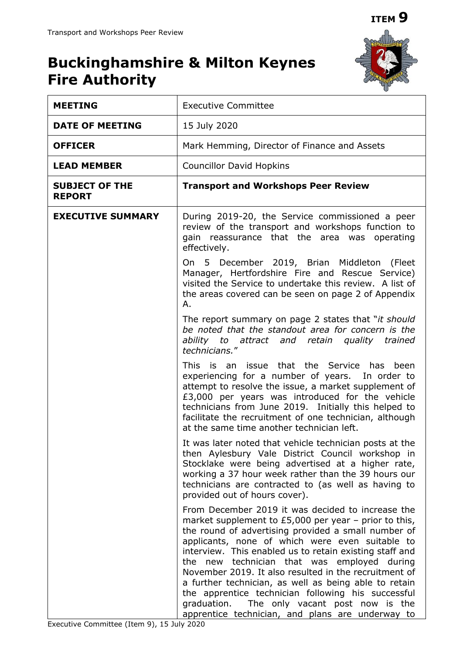

## **Buckinghamshire & Milton Keynes Fire Authority**

| <b>MEETING</b>                         | <b>Executive Committee</b>                                                                                                                                                                                                                                                                                                                                                                                                                                                                                                                                                                                  |
|----------------------------------------|-------------------------------------------------------------------------------------------------------------------------------------------------------------------------------------------------------------------------------------------------------------------------------------------------------------------------------------------------------------------------------------------------------------------------------------------------------------------------------------------------------------------------------------------------------------------------------------------------------------|
| <b>DATE OF MEETING</b>                 | 15 July 2020                                                                                                                                                                                                                                                                                                                                                                                                                                                                                                                                                                                                |
| <b>OFFICER</b>                         | Mark Hemming, Director of Finance and Assets                                                                                                                                                                                                                                                                                                                                                                                                                                                                                                                                                                |
| <b>LEAD MEMBER</b>                     | <b>Councillor David Hopkins</b>                                                                                                                                                                                                                                                                                                                                                                                                                                                                                                                                                                             |
| <b>SUBJECT OF THE</b><br><b>REPORT</b> | <b>Transport and Workshops Peer Review</b>                                                                                                                                                                                                                                                                                                                                                                                                                                                                                                                                                                  |
| <b>EXECUTIVE SUMMARY</b>               | During 2019-20, the Service commissioned a peer<br>review of the transport and workshops function to<br>gain reassurance that the area was operating<br>effectively.                                                                                                                                                                                                                                                                                                                                                                                                                                        |
|                                        | On 5 December 2019, Brian Middleton (Fleet<br>Manager, Hertfordshire Fire and Rescue Service)<br>visited the Service to undertake this review. A list of<br>the areas covered can be seen on page 2 of Appendix<br>Α.                                                                                                                                                                                                                                                                                                                                                                                       |
|                                        | The report summary on page 2 states that "it should<br>be noted that the standout area for concern is the<br>ability to attract and retain quality trained<br>technicians."                                                                                                                                                                                                                                                                                                                                                                                                                                 |
|                                        | This is an issue that the Service has been<br>experiencing for a number of years. In order to<br>attempt to resolve the issue, a market supplement of<br>£3,000 per years was introduced for the vehicle<br>technicians from June 2019. Initially this helped to<br>facilitate the recruitment of one technician, although<br>at the same time another technician left.                                                                                                                                                                                                                                     |
|                                        | It was later noted that vehicle technician posts at the<br>then Aylesbury Vale District Council workshop in<br>Stocklake were being advertised at a higher rate,<br>working a 37 hour week rather than the 39 hours our<br>technicians are contracted to (as well as having to<br>provided out of hours cover).                                                                                                                                                                                                                                                                                             |
|                                        | From December 2019 it was decided to increase the<br>market supplement to $£5,000$ per year - prior to this,<br>the round of advertising provided a small number of<br>applicants, none of which were even suitable to<br>interview. This enabled us to retain existing staff and<br>the new technician that was employed during<br>November 2019. It also resulted in the recruitment of<br>a further technician, as well as being able to retain<br>the apprentice technician following his successful<br>graduation. The only vacant post now is the<br>apprentice technician, and plans are underway to |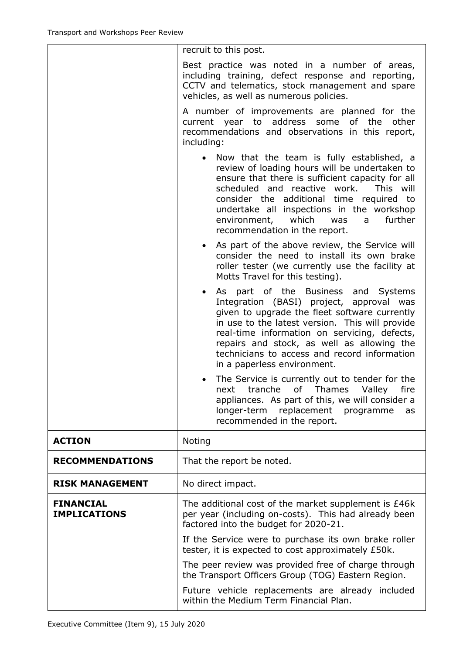|                                         | recruit to this post.                                                                                                                                                                                                                                                                                                                                                         |
|-----------------------------------------|-------------------------------------------------------------------------------------------------------------------------------------------------------------------------------------------------------------------------------------------------------------------------------------------------------------------------------------------------------------------------------|
|                                         | Best practice was noted in a number of areas,<br>including training, defect response and reporting,<br>CCTV and telematics, stock management and spare<br>vehicles, as well as numerous policies.                                                                                                                                                                             |
|                                         | A number of improvements are planned for the<br>current year to address some of the<br>other<br>recommendations and observations in this report,<br>including:                                                                                                                                                                                                                |
|                                         | Now that the team is fully established, a<br>review of loading hours will be undertaken to<br>ensure that there is sufficient capacity for all<br>scheduled and reactive work.<br>This will<br>consider the additional time required to<br>undertake all inspections in the workshop<br>environment, which was a<br>further<br>recommendation in the report.                  |
|                                         | As part of the above review, the Service will<br>$\bullet$<br>consider the need to install its own brake<br>roller tester (we currently use the facility at<br>Motts Travel for this testing).                                                                                                                                                                                |
|                                         | As part of the Business and Systems<br>$\bullet$<br>Integration (BASI) project, approval was<br>given to upgrade the fleet software currently<br>in use to the latest version. This will provide<br>real-time information on servicing, defects,<br>repairs and stock, as well as allowing the<br>technicians to access and record information<br>in a paperless environment. |
|                                         | The Service is currently out to tender for the<br>next tranche of Thames<br>Valley<br>fire<br>appliances. As part of this, we will consider a<br>replacement programme<br>longer-term<br>as<br>recommended in the report.                                                                                                                                                     |
| <b>ACTION</b>                           | Noting                                                                                                                                                                                                                                                                                                                                                                        |
| <b>RECOMMENDATIONS</b>                  | That the report be noted.                                                                                                                                                                                                                                                                                                                                                     |
| <b>RISK MANAGEMENT</b>                  | No direct impact.                                                                                                                                                                                                                                                                                                                                                             |
| <b>FINANCIAL</b><br><b>IMPLICATIONS</b> | The additional cost of the market supplement is £46k<br>per year (including on-costs). This had already been<br>factored into the budget for 2020-21.                                                                                                                                                                                                                         |
|                                         | If the Service were to purchase its own brake roller<br>tester, it is expected to cost approximately £50k.                                                                                                                                                                                                                                                                    |
|                                         | The peer review was provided free of charge through<br>the Transport Officers Group (TOG) Eastern Region.                                                                                                                                                                                                                                                                     |
|                                         | Future vehicle replacements are already included<br>within the Medium Term Financial Plan.                                                                                                                                                                                                                                                                                    |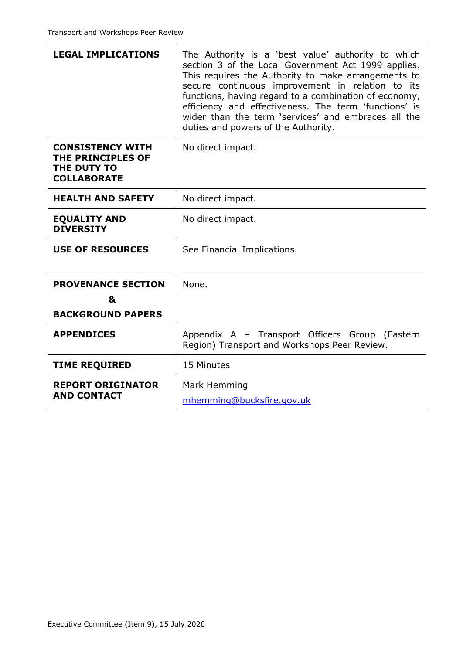| <b>LEGAL IMPLICATIONS</b>                                                         | The Authority is a 'best value' authority to which<br>section 3 of the Local Government Act 1999 applies.<br>This requires the Authority to make arrangements to<br>secure continuous improvement in relation to its<br>functions, having regard to a combination of economy,<br>efficiency and effectiveness. The term 'functions' is<br>wider than the term 'services' and embraces all the<br>duties and powers of the Authority. |
|-----------------------------------------------------------------------------------|--------------------------------------------------------------------------------------------------------------------------------------------------------------------------------------------------------------------------------------------------------------------------------------------------------------------------------------------------------------------------------------------------------------------------------------|
| <b>CONSISTENCY WITH</b><br>THE PRINCIPLES OF<br>THE DUTY TO<br><b>COLLABORATE</b> | No direct impact.                                                                                                                                                                                                                                                                                                                                                                                                                    |
| <b>HEALTH AND SAFETY</b>                                                          | No direct impact.                                                                                                                                                                                                                                                                                                                                                                                                                    |
| <b>EQUALITY AND</b><br><b>DIVERSITY</b>                                           | No direct impact.                                                                                                                                                                                                                                                                                                                                                                                                                    |
| <b>USE OF RESOURCES</b>                                                           | See Financial Implications.                                                                                                                                                                                                                                                                                                                                                                                                          |
| <b>PROVENANCE SECTION</b>                                                         | None.                                                                                                                                                                                                                                                                                                                                                                                                                                |
| &                                                                                 |                                                                                                                                                                                                                                                                                                                                                                                                                                      |
| <b>BACKGROUND PAPERS</b>                                                          |                                                                                                                                                                                                                                                                                                                                                                                                                                      |
| <b>APPENDICES</b>                                                                 | Appendix A - Transport Officers Group (Eastern<br>Region) Transport and Workshops Peer Review.                                                                                                                                                                                                                                                                                                                                       |
| <b>TIME REQUIRED</b>                                                              | 15 Minutes                                                                                                                                                                                                                                                                                                                                                                                                                           |
| <b>REPORT ORIGINATOR</b><br><b>AND CONTACT</b>                                    | Mark Hemming<br>mhemming@bucksfire.gov.uk                                                                                                                                                                                                                                                                                                                                                                                            |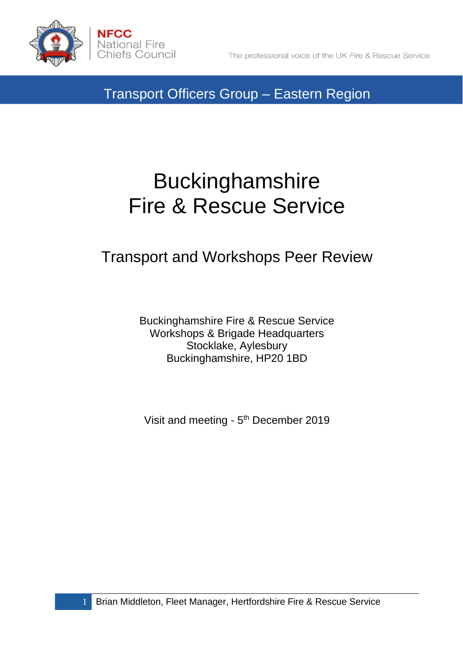

# Buckinghamshire Fire & Rescue Service

## Transport and Workshops Peer Review

Buckinghamshire Fire & Rescue Service Workshops & Brigade Headquarters Stocklake, Aylesbury Buckinghamshire, HP20 1BD

Visit and meeting - 5<sup>th</sup> December 2019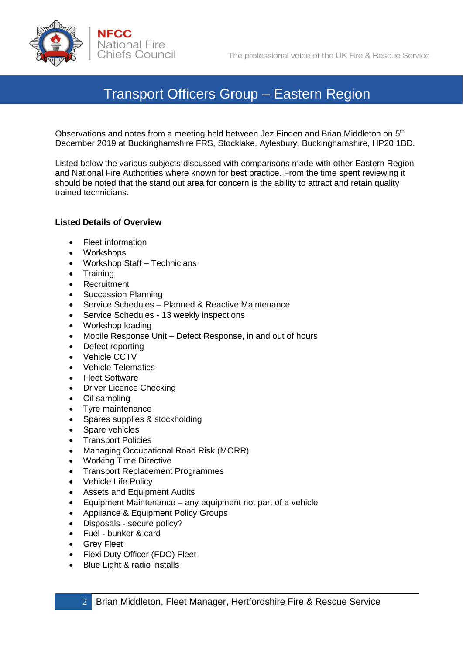

Observations and notes from a meeting held between Jez Finden and Brian Middleton on 5<sup>th</sup> December 2019 at Buckinghamshire FRS, Stocklake, Aylesbury, Buckinghamshire, HP20 1BD.

Listed below the various subjects discussed with comparisons made with other Eastern Region and National Fire Authorities where known for best practice. From the time spent reviewing it should be noted that the stand out area for concern is the ability to attract and retain quality trained technicians.

#### **Listed Details of Overview**

- Fleet information
- Workshops
- Workshop Staff Technicians
- Training
- Recruitment
- Succession Planning
- Service Schedules Planned & Reactive Maintenance
- Service Schedules 13 weekly inspections
- Workshop loading
- Mobile Response Unit Defect Response, in and out of hours
- Defect reporting
- Vehicle CCTV
- Vehicle Telematics
- Fleet Software
- Driver Licence Checking
- Oil sampling
- Tyre maintenance
- Spares supplies & stockholding
- Spare vehicles
- Transport Policies
- Managing Occupational Road Risk (MORR)
- Working Time Directive
- Transport Replacement Programmes
- Vehicle Life Policy
- Assets and Equipment Audits
- Equipment Maintenance any equipment not part of a vehicle
- Appliance & Equipment Policy Groups
- Disposals secure policy?
- Fuel bunker & card
- Grey Fleet
- Flexi Duty Officer (FDO) Fleet
- Blue Light & radio installs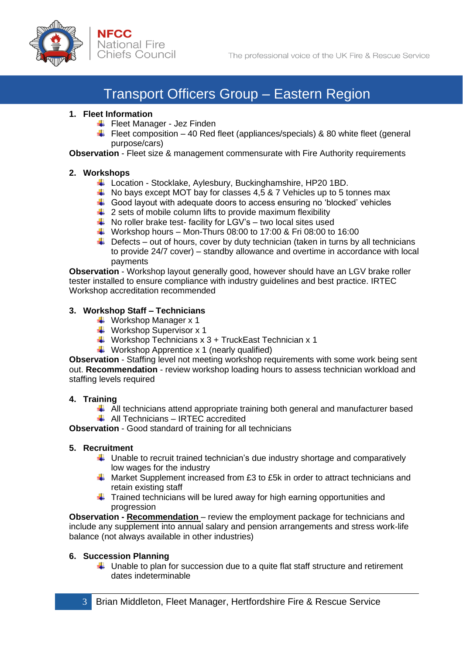

#### **1. Fleet Information**

- $\bigstar$  Fleet Manager Jez Finden
- Fleet composition 40 Red fleet (appliances/specials) & 80 white fleet (general purpose/cars)

**Observation** - Fleet size & management commensurate with Fire Authority requirements

#### **2. Workshops**

- Location Stocklake, Aylesbury, Buckinghamshire, HP20 1BD.
- $\overline{\phantom{a}+}$  No bays except MOT bay for classes 4,5 & 7 Vehicles up to 5 tonnes max
- $\ddot$  Good layout with adequate doors to access ensuring no 'blocked' vehicles
- $\downarrow$  2 sets of mobile column lifts to provide maximum flexibility
- $\overline{\phantom{a}+}$  No roller brake test- facility for LGV's two local sites used
- $\textcolor{red}{\bigstar}$  Workshop hours Mon-Thurs 08:00 to 17:00 & Fri 08:00 to 16:00
- $\ddot{\phantom{1}}$  Defects out of hours, cover by duty technician (taken in turns by all technicians to provide 24/7 cover) – standby allowance and overtime in accordance with local payments

**Observation** - Workshop layout generally good, however should have an LGV brake roller tester installed to ensure compliance with industry guidelines and best practice. IRTEC Workshop accreditation recommended

#### **3. Workshop Staff – Technicians**

- $\overline{\text{4}}$  Workshop Manager x 1
- $\overline{\phantom{a} \bullet}$  Workshop Supervisor x 1
- $\frac{4}{1}$  Workshop Technicians x 3 + TruckEast Technician x 1
- $\downarrow$  Workshop Apprentice x 1 (nearly qualified)

**Observation** - Staffing level not meeting workshop requirements with some work being sent out. **Recommendation** - review workshop loading hours to assess technician workload and staffing levels required

#### **4. Training**

- $\ddotplus$  All technicians attend appropriate training both general and manufacturer based
- $\triangleq$  All Technicians IRTEC accredited

**Observation** - Good standard of training for all technicians

#### **5. Recruitment**

- $\ddot{\bullet}$  Unable to recruit trained technician's due industry shortage and comparatively low wages for the industry
- $\ddot{+}$  Market Supplement increased from £3 to £5k in order to attract technicians and retain existing staff
- $\ddot{\phantom{1}}$  Trained technicians will be lured away for high earning opportunities and progression

**Observation - Recommendation** – review the employment package for technicians and include any supplement into annual salary and pension arrangements and stress work-life balance (not always available in other industries)

#### **6. Succession Planning**

 $\ddotplus$  Unable to plan for succession due to a quite flat staff structure and retirement dates indeterminable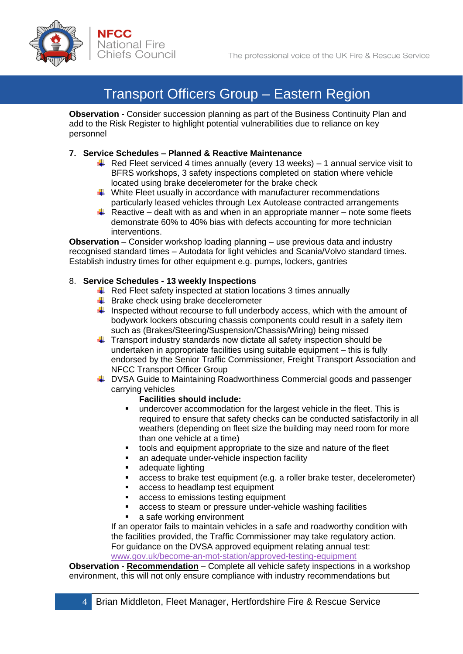

**Observation** - Consider succession planning as part of the Business Continuity Plan and add to the Risk Register to highlight potential vulnerabilities due to reliance on key personnel

#### **7. Service Schedules – Planned & Reactive Maintenance**

- $\overline{\text{+}}$  Red Fleet serviced 4 times annually (every 13 weeks) 1 annual service visit to BFRS workshops, 3 safety inspections completed on station where vehicle located using brake decelerometer for the brake check
- $\ddot$  White Fleet usually in accordance with manufacturer recommendations particularly leased vehicles through Lex Autolease contracted arrangements
- Reactive dealt with as and when in an appropriate manner note some fleets demonstrate 60% to 40% bias with defects accounting for more technician interventions.

**Observation** – Consider workshop loading planning – use previous data and industry recognised standard times – Autodata for light vehicles and Scania/Volvo standard times. Establish industry times for other equipment e.g. pumps, lockers, gantries

#### 8. **Service Schedules - 13 weekly Inspections**

- $\downarrow$  Red Fleet safety inspected at station locations 3 times annually
- $\bigstar$  Brake check using brake decelerometer
- $\ddot{\phantom{1}}$  Inspected without recourse to full underbody access, which with the amount of bodywork lockers obscuring chassis components could result in a safety item such as (Brakes/Steering/Suspension/Chassis/Wiring) being missed
- $\ddot{\phantom{1}}$  Transport industry standards now dictate all safety inspection should be undertaken in appropriate facilities using suitable equipment – this is fully endorsed by the Senior Traffic Commissioner, Freight Transport Association and NFCC Transport Officer Group
- ↓ DVSA Guide to Maintaining Roadworthiness Commercial goods and passenger carrying vehicles

#### **Facilities should include:**

- undercover accommodation for the largest vehicle in the fleet. This is required to ensure that safety checks can be conducted satisfactorily in all weathers (depending on fleet size the building may need room for more than one vehicle at a time)
- tools and equipment appropriate to the size and nature of the fleet
- an adequate under-vehicle inspection facility
- adequate lighting
- access to brake test equipment (e.g. a roller brake tester, decelerometer)
- access to headlamp test equipment
- access to emissions testing equipment
- access to steam or pressure under-vehicle washing facilities
- a safe working environment

If an operator fails to maintain vehicles in a safe and roadworthy condition with the facilities provided, the Traffic Commissioner may take regulatory action. For guidance on the DVSA approved equipment relating annual test: [www.gov.uk/become-an-mot-station/approved-testing-equipment](http://www.gov.uk/become-an-mot-station/approved-testing-equipment)

**Observation - Recommendation** – Complete all vehicle safety inspections in a workshop environment, this will not only ensure compliance with industry recommendations but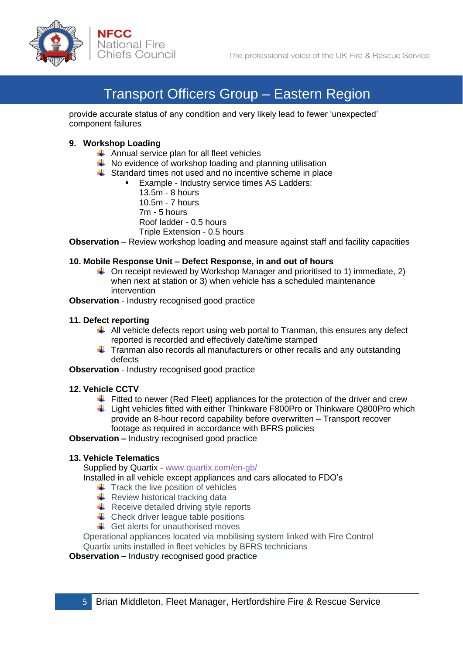

provide accurate status of any condition and very likely lead to fewer 'unexpected' component failures

#### **9. Workshop Loading**

- $\triangleq$  Annual service plan for all fleet vehicles
- $\overline{\phantom{a}^+}$  No evidence of workshop loading and planning utilisation
- $\frac{1}{2}$  Standard times not used and no incentive scheme in place
	- Example Industry service times AS Ladders:

13.5m - 8 hours 10.5m - 7 hours 7m - 5 hours Roof ladder - 0.5 hours Triple Extension - 0.5 hours

**Observation** – Review workshop loading and measure against staff and facility capacities

#### **10. Mobile Response Unit – Defect Response, in and out of hours**

 $\downarrow$  On receipt reviewed by Workshop Manager and prioritised to 1) immediate, 2) when next at station or 3) when vehicle has a scheduled maintenance intervention

**Observation** - Industry recognised good practice

#### **11. Defect reporting**

- $\ddotplus$  All vehicle defects report using web portal to Tranman, this ensures any defect reported is recorded and effectively date/time stamped
- $\ddot{\phantom{1}}$  Tranman also records all manufacturers or other recalls and any outstanding defects

**Observation** - Industry recognised good practice

#### **12. Vehicle CCTV**

- Fitted to newer (Red Fleet) appliances for the protection of the driver and crew
- $\ddot{\phantom{1}}$  Light vehicles fitted with either Thinkware F800Pro or Thinkware Q800Pro which provide an 8-hour record capability before overwritten – Transport recover footage as required in accordance with BFRS policies

**Observation –** Industry recognised good practice

#### **13. Vehicle Telematics**

Supplied by Quartix - [www.quartix.com/en-gb/](http://www.quartix.com/en-gb/)

Installed in all vehicle except appliances and cars allocated to FDO's

- $\ddot{\bullet}$  Track the live position of vehicles
- $\triangleq$  Review historical tracking data
- $\overline{\phantom{a}}$  Receive detailed driving style reports
- $\triangleq$  Check driver league table positions
- $\leftarrow$  Get alerts for unauthorised moves

Operational appliances located via mobilising system linked with Fire Control Quartix units installed in fleet vehicles by BFRS technicians

**Observation –** Industry recognised good practice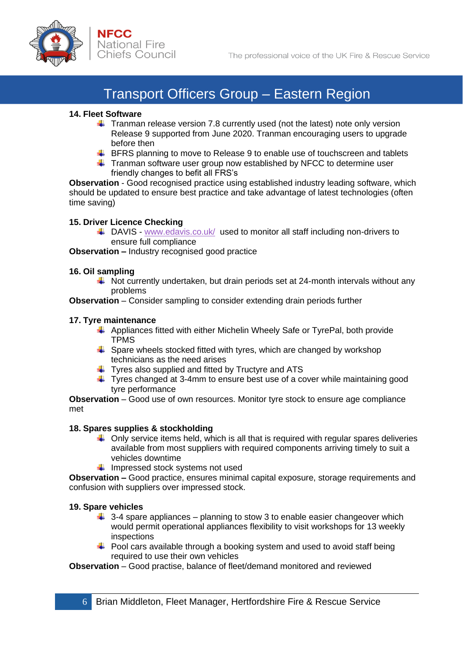

#### **14. Fleet Software**

- **Tranman release version 7.8 currently used (not the latest) note only version** Release 9 supported from June 2020. Tranman encouraging users to upgrade before then
- $\ddot{+}$  BFRS planning to move to Release 9 to enable use of touchscreen and tablets
- $\ddot{\phantom{1}}$  Tranman software user group now established by NFCC to determine user friendly changes to befit all FRS's

**Observation** - Good recognised practice using established industry leading software, which should be updated to ensure best practice and take advantage of latest technologies (often time saving)

#### **15. Driver Licence Checking**

 $\triangleq$  DAVIS - [www.edavis.co.uk/](http://www.edavis.co.uk/) used to monitor all staff including non-drivers to ensure full compliance

**Observation –** Industry recognised good practice

#### **16. Oil sampling**

 $\ddot{\phantom{1}}$  Not currently undertaken, but drain periods set at 24-month intervals without any problems

**Observation** – Consider sampling to consider extending drain periods further

#### **17. Tyre maintenance**

- Appliances fitted with either Michelin Wheely Safe or TyrePal, both provide TPMS
- $\ddot{\phantom{1}}$  Spare wheels stocked fitted with tyres, which are changed by workshop technicians as the need arises
- $\ddot{\phantom{1}}$  Tyres also supplied and fitted by Tructyre and ATS
- $\ddot{\phantom{1}}$  Tyres changed at 3-4mm to ensure best use of a cover while maintaining good tyre performance

**Observation** – Good use of own resources. Monitor tyre stock to ensure age compliance met

#### **18. Spares supplies & stockholding**

- $\downarrow$  Only service items held, which is all that is required with regular spares deliveries available from most suppliers with required components arriving timely to suit a vehicles downtime
- $\downarrow$  Impressed stock systems not used

**Observation –** Good practice, ensures minimal capital exposure, storage requirements and confusion with suppliers over impressed stock.

#### **19. Spare vehicles**

- $\ddot{+}$  3-4 spare appliances planning to stow 3 to enable easier changeover which would permit operational appliances flexibility to visit workshops for 13 weekly inspections
- $\ddot{\phantom{1}}$  Pool cars available through a booking system and used to avoid staff being required to use their own vehicles

**Observation** – Good practise, balance of fleet/demand monitored and reviewed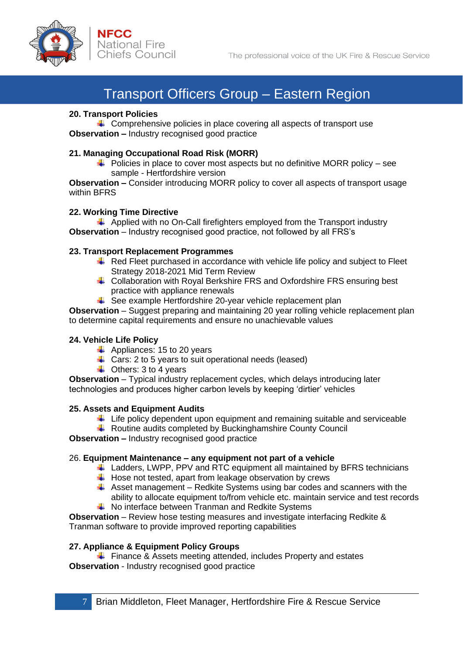

#### **20. Transport Policies**

 $\uparrow$  Comprehensive policies in place covering all aspects of transport use **Observation –** Industry recognised good practice

#### **21. Managing Occupational Road Risk (MORR)**

 $\overline{\phantom{a}^+}$  Policies in place to cover most aspects but no definitive MORR policy – see sample - Hertfordshire version

**Observation –** Consider introducing MORR policy to cover all aspects of transport usage within BFRS

#### **22. Working Time Directive**

 $\overline{\phantom{a} \overline{\phantom{a}}}$  Applied with no On-Call firefighters employed from the Transport industry **Observation** – Industry recognised good practice, not followed by all FRS's

#### **23. Transport Replacement Programmes**

- $\overline{\phantom{a}+}$  Red Fleet purchased in accordance with vehicle life policy and subject to Fleet Strategy 2018-2021 Mid Term Review
- ↓ Collaboration with Royal Berkshire FRS and Oxfordshire FRS ensuring best practice with appliance renewals
- $\div$  See example Hertfordshire 20-year vehicle replacement plan

**Observation** – Suggest preparing and maintaining 20 year rolling vehicle replacement plan to determine capital requirements and ensure no unachievable values

#### **24. Vehicle Life Policy**

- $\overline{\phantom{a}}$  Appliances: 15 to 20 years
- $\leftarrow$  Cars: 2 to 5 years to suit operational needs (leased)
- $\overline{\phantom{a}}$  Others: 3 to 4 years

**Observation** – Typical industry replacement cycles, which delays introducing later technologies and produces higher carbon levels by keeping 'dirtier' vehicles

#### **25. Assets and Equipment Audits**

- $\ddot{\phantom{1}}$  Life policy dependent upon equipment and remaining suitable and serviceable
- $\overline{\phantom{a} \bullet}$  Routine audits completed by Buckinghamshire County Council

#### **Observation –** Industry recognised good practice

#### 26. **Equipment Maintenance – any equipment not part of a vehicle**

- Ladders, LWPP, PPV and RTC equipment all maintained by BFRS technicians
- $\downarrow$  Hose not tested, apart from leakage observation by crews
- $\uparrow$  Asset management Redkite Systems using bar codes and scanners with the ability to allocate equipment to/from vehicle etc. maintain service and test records  $\overline{\text{+}}$  No interface between Tranman and Redkite Systems
- 

**Observation** – Review hose testing measures and investigate interfacing Redkite & Tranman software to provide improved reporting capabilities

#### **27. Appliance & Equipment Policy Groups**

 $\overline{\phantom{a} \bullet}$  Finance & Assets meeting attended, includes Property and estates **Observation** - Industry recognised good practice